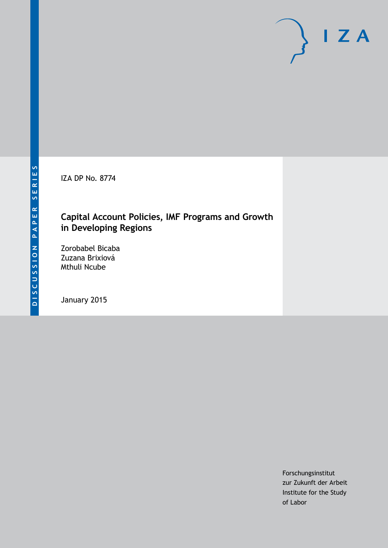IZA DP No. 8774

# **Capital Account Policies, IMF Programs and Growth in Developing Regions**

Zorobabel Bicaba Zuzana Brixiová Mthuli Ncube

January 2015

Forschungsinstitut zur Zukunft der Arbeit Institute for the Study of Labor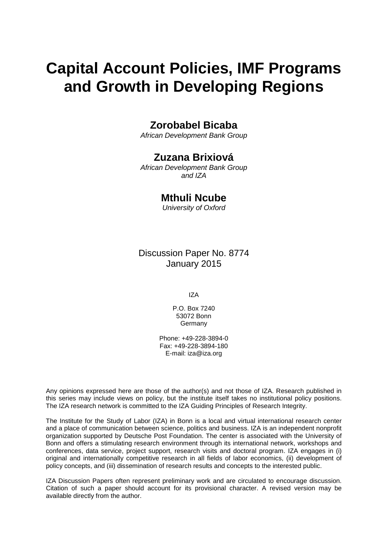# **Capital Account Policies, IMF Programs and Growth in Developing Regions**

## **Zorobabel Bicaba**

*African Development Bank Group*

## **Zuzana Brixiová**

*African Development Bank Group and IZA*

## **Mthuli Ncube**

*University of Oxford*

Discussion Paper No. 8774 January 2015

IZA

P.O. Box 7240 53072 Bonn **Germany** 

Phone: +49-228-3894-0 Fax: +49-228-3894-180 E-mail: [iza@iza.org](mailto:iza@iza.org)

Any opinions expressed here are those of the author(s) and not those of IZA. Research published in this series may include views on policy, but the institute itself takes no institutional policy positions. The IZA research network is committed to the IZA Guiding Principles of Research Integrity.

The Institute for the Study of Labor (IZA) in Bonn is a local and virtual international research center and a place of communication between science, politics and business. IZA is an independent nonprofit organization supported by Deutsche Post Foundation. The center is associated with the University of Bonn and offers a stimulating research environment through its international network, workshops and conferences, data service, project support, research visits and doctoral program. IZA engages in (i) original and internationally competitive research in all fields of labor economics, (ii) development of policy concepts, and (iii) dissemination of research results and concepts to the interested public.

<span id="page-1-0"></span>IZA Discussion Papers often represent preliminary work and are circulated to encourage discussion. Citation of such a paper should account for its provisional character. A revised version may be available directly from the author.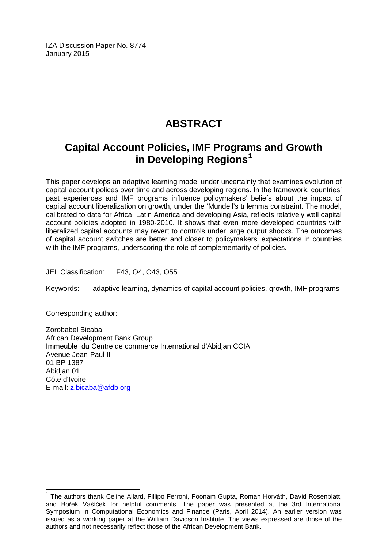IZA Discussion Paper No. 8774 January 2015

# **ABSTRACT**

# **Capital Account Policies, IMF Programs and Growth in Developing Regions[1](#page-1-0)**

This paper develops an adaptive learning model under uncertainty that examines evolution of capital account polices over time and across developing regions. In the framework, countries' past experiences and IMF programs influence policymakers' beliefs about the impact of capital account liberalization on growth, under the 'Mundell's trilemma constraint. The model, calibrated to data for Africa, Latin America and developing Asia, reflects relatively well capital account policies adopted in 1980-2010. It shows that even more developed countries with liberalized capital accounts may revert to controls under large output shocks. The outcomes of capital account switches are better and closer to policymakers' expectations in countries with the IMF programs, underscoring the role of complementarity of policies.

JEL Classification: F43, O4, O43, O55

Keywords: adaptive learning, dynamics of capital account policies, growth, IMF programs

Corresponding author:

Zorobabel Bicaba African Development Bank Group Immeuble du Centre de commerce International d'Abidjan CCIA Avenue Jean-Paul II 01 BP 1387 Abidjan 01 Côte d'Ivoire E-mail: [z.bicaba@afdb.org](mailto:z.bicaba@afdb.org)

<sup>&</sup>lt;sup>1</sup> The authors thank Celine Allard, Fillipo Ferroni, Poonam Gupta, Roman Horváth, David Rosenblatt, and Bořek Vašíček for helpful comments. The paper was presented at the 3rd International Symposium in Computational Economics and Finance (Paris, April 2014). An earlier version was issued as a working paper at the William Davidson Institute. The views expressed are those of the authors and not necessarily reflect those of the African Development Bank.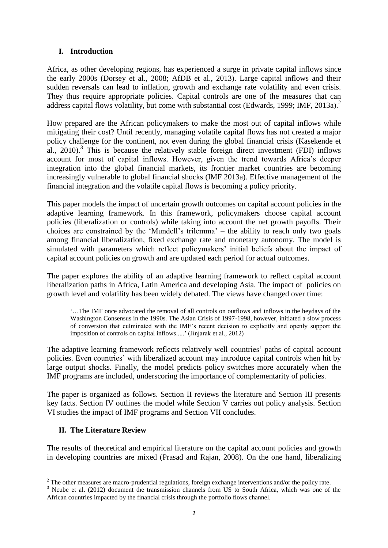#### **I. Introduction**

Africa, as other developing regions, has experienced a surge in private capital inflows since the early 2000s (Dorsey et al., 2008; AfDB et al., 2013). Large capital inflows and their sudden reversals can lead to inflation, growth and exchange rate volatility and even crisis. They thus require appropriate policies. Capital controls are one of the measures that can address capital flows volatility, but come with substantial cost (Edwards, 1999; IMF, 2013a).<sup>2</sup>

How prepared are the African policymakers to make the most out of capital inflows while mitigating their cost? Until recently, managing volatile capital flows has not created a major policy challenge for the continent, not even during the global financial crisis (Kasekende et al., 2010). 3 This is because the relatively stable foreign direct investment (FDI) inflows account for most of capital inflows. However, given the trend towards Africa's deeper integration into the global financial markets, its frontier market countries are becoming increasingly vulnerable to global financial shocks (IMF 2013a). Effective management of the financial integration and the volatile capital flows is becoming a policy priority.

This paper models the impact of uncertain growth outcomes on capital account policies in the adaptive learning framework. In this framework, policymakers choose capital account policies (liberalization or controls) while taking into account the net growth payoffs. Their choices are constrained by the 'Mundell's trilemma' – the ability to reach only two goals among financial liberalization, fixed exchange rate and monetary autonomy. The model is simulated with parameters which reflect policymakers' initial beliefs about the impact of capital account policies on growth and are updated each period for actual outcomes.

The paper explores the ability of an adaptive learning framework to reflect capital account liberalization paths in Africa, Latin America and developing Asia. The impact of policies on growth level and volatility has been widely debated. The views have changed over time:

'…The IMF once advocated the removal of all controls on outflows and inflows in the heydays of the Washington Consensus in the 1990s. The Asian Crisis of 1997-1998, however, initiated a slow process of conversion that culminated with the IMF's recent decision to explicitly and openly support the imposition of controls on capital inflows.....' (Jinjarak et al., 2012)

The adaptive learning framework reflects relatively well countries' paths of capital account policies. Even countries' with liberalized account may introduce capital controls when hit by large output shocks. Finally, the model predicts policy switches more accurately when the IMF programs are included, underscoring the importance of complementarity of policies.

The paper is organized as follows. Section II reviews the literature and Section III presents key facts. Section IV outlines the model while Section V carries out policy analysis. Section VI studies the impact of IMF programs and Section VII concludes.

#### **II. The Literature Review**

The results of theoretical and empirical literature on the capital account policies and growth in developing countries are mixed (Prasad and Rajan, 2008). On the one hand, liberalizing

<sup>1</sup>  $2$  The other measures are macro-prudential regulations, foreign exchange interventions and/or the policy rate.

<sup>&</sup>lt;sup>3</sup> Ncube et al. (2012) document the transmission channels from US to South Africa, which was one of the African countries impacted by the financial crisis through the portfolio flows channel.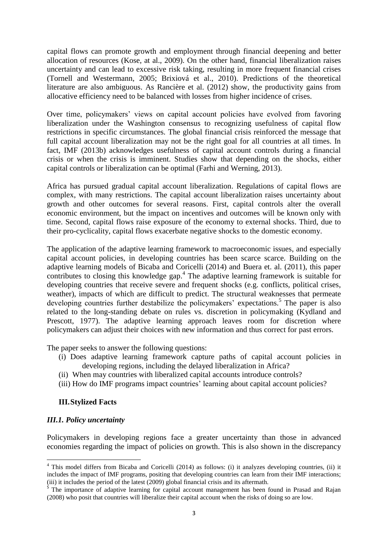capital flows can promote growth and employment through financial deepening and better allocation of resources (Kose, at al., 2009). On the other hand, financial liberalization raises uncertainty and can lead to excessive risk taking, resulting in more frequent financial crises (Tornell and Westermann, 2005; Brixiová et al., 2010). Predictions of the theoretical literature are also ambiguous. As Rancière et al. (2012) show, the productivity gains from allocative efficiency need to be balanced with losses from higher incidence of crises.

Over time, policymakers' views on capital account policies have evolved from favoring liberalization under the Washington consensus to recognizing usefulness of capital flow restrictions in specific circumstances. The global financial crisis reinforced the message that full capital account liberalization may not be the right goal for all countries at all times. In fact, IMF (2013b) acknowledges usefulness of capital account controls during a financial crisis or when the crisis is imminent. Studies show that depending on the shocks, either capital controls or liberalization can be optimal (Farhi and Werning, 2013).

Africa has pursued gradual capital account liberalization. Regulations of capital flows are complex, with many restrictions. The capital account liberalization raises uncertainty about growth and other outcomes for several reasons. First, capital controls alter the overall economic environment, but the impact on incentives and outcomes will be known only with time. Second, capital flows raise exposure of the economy to external shocks. Third, due to their pro-cyclicality, capital flows exacerbate negative shocks to the domestic economy.

The application of the adaptive learning framework to macroeconomic issues, and especially capital account policies, in developing countries has been scarce scarce. Building on the adaptive learning models of Bicaba and Coricelli (2014) and Buera et. al. (2011), this paper contributes to closing this knowledge gap. 4 The adaptive learning framework is suitable for developing countries that receive severe and frequent shocks (e.g. conflicts, political crises, weather), impacts of which are difficult to predict. The structural weaknesses that permeate developing countries further destabilize the policymakers' expectations.<sup>5</sup> The paper is also related to the long-standing debate on rules vs. discretion in policymaking (Kydland and Prescott, 1977). The adaptive learning approach leaves room for discretion where policymakers can adjust their choices with new information and thus correct for past errors.

The paper seeks to answer the following questions:

- (i) Does adaptive learning framework capture paths of capital account policies in developing regions, including the delayed liberalization in Africa?
- (ii) When may countries with liberalized capital accounts introduce controls?
- (iii) How do IMF programs impact countries' learning about capital account policies?

#### **III.Stylized Facts**

#### *III.1. Policy uncertainty*

1

Policymakers in developing regions face a greater uncertainty than those in advanced economies regarding the impact of policies on growth. This is also shown in the discrepancy

 $4$  This model differs from Bicaba and Coricelli (2014) as follows: (i) it analyzes developing countries, (ii) it includes the impact of IMF programs, positing that developing countries can learn from their IMF interactions; (iii) it includes the period of the latest (2009) global financial crisis and its aftermath.

<sup>&</sup>lt;sup>5</sup> The importance of adaptive learning for capital account management has been found in Prasad and Rajan (2008) who posit that countries will liberalize their capital account when the risks of doing so are low.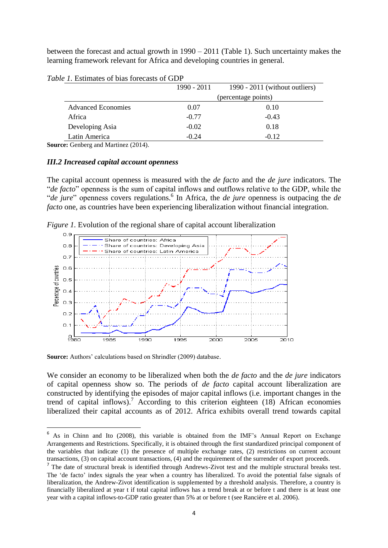between the forecast and actual growth in 1990 – 2011 (Table 1). Such uncertainty makes the learning framework relevant for Africa and developing countries in general.

|                           | 1990 - 2011 | 1990 - 2011 (without outliers) |
|---------------------------|-------------|--------------------------------|
|                           |             | (percentage points)            |
| <b>Advanced Economies</b> | 0.07        | 0.10                           |
| Africa                    | $-0.77$     | $-0.43$                        |
| Developing Asia           | $-0.02$     | 0.18                           |
| Latin America             | $-0.24$     | $-0.12$                        |

*Table 1.* Estimates of bias forecasts of GDP

**Source:** Genberg and Martinez (2014).

#### *III.2 Increased capital account openness*

The capital account openness is measured with the *de facto* and the *de jure* indicators. The "*de facto*" openness is the sum of capital inflows and outflows relative to the GDP, while the "*de jure*" openness covers regulations.<sup>6</sup> In Africa, the *de jure* openness is outpacing the *de facto* one, as countries have been experiencing liberalization without financial integration.

*Figure 1.* Evolution of the regional share of capital account liberalization



**Source:** Authors' calculations based on Shrindler (2009) database.

**.** 

We consider an economy to be liberalized when both the *de facto* and the *de jure* indicators of capital openness show so. The periods of *de facto* capital account liberalization are constructed by identifying the episodes of major capital inflows (i.e. important changes in the trend of capital inflows).<sup>7</sup> According to this criterion eighteen  $(18)$  African economies liberalized their capital accounts as of 2012. Africa exhibits overall trend towards capital

<sup>6</sup> As in Chinn and Ito (2008), this variable is obtained from the IMF's Annual Report on Exchange Arrangements and Restrictions. Specifically, it is obtained through the first standardized principal component of the variables that indicate (1) the presence of multiple exchange rates, (2) restrictions on current account transactions, (3) on capital account transactions, (4) and the requirement of the surrender of export proceeds.

<sup>&</sup>lt;sup>7</sup> The date of structural break is identified through Andrews-Zivot test and the multiple structural breaks test. The 'de facto' index signals the year when a country has liberalized. To avoid the potential false signals of liberalization, the Andrew-Zivot identification is supplemented by a threshold analysis. Therefore, a country is financially liberalized at year t if total capital inflows has a trend break at or before t and there is at least one year with a capital inflows-to-GDP ratio greater than 5% at or before t (see Rancière et al. 2006).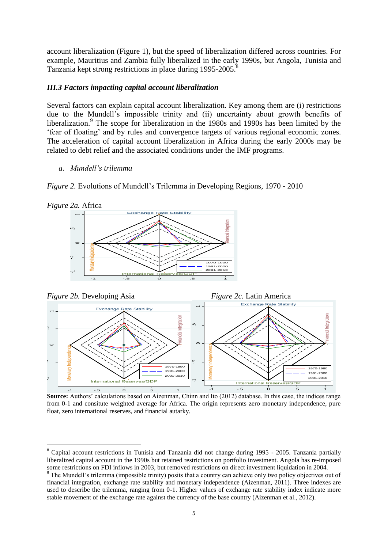account liberalization (Figure 1), but the speed of liberalization differed across countries. For example, Mauritius and Zambia fully liberalized in the early 1990s, but Angola, Tunisia and Tanzania kept strong restrictions in place during 1995-2005.

#### *III.3 Factors impacting capital account liberalization*

Several factors can explain capital account liberalization. Key among them are (i) restrictions due to the Mundell's impossible trinity and (ii) uncertainty about growth benefits of liberalization.<sup>9</sup> The scope for liberalization in the 1980s and 1990s has been limited by the 'fear of floating' and by rules and convergence targets of various regional economic zones. The acceleration of capital account liberalization in Africa during the early 2000s may be related to debt relief and the associated conditions under the IMF programs.

*a. Mundell's trilemma*

*Figure 2.* Evolutions of Mundell's Trilemma in Developing Regions, 1970 - 2010



**.** 





**Source:** Authors' calculations based on Aizenman, Chinn and Ito (2012) database. In this case, the indices range from 0-1 and consitute weighted average for Africa. The origin represents zero monetary independence, pure float, zero international reserves, and financial autarky.

<sup>&</sup>lt;sup>8</sup> Capital account restrictions in Tunisia and Tanzania did not change during 1995 - 2005. Tanzania partially liberalized capital account in the 1990s but retained restrictions on portfolio investment. Angola has re-imposed some restrictions on FDI inflows in 2003, but removed restrictions on direct investment liquidation in 2004.

<sup>&</sup>lt;sup>9</sup> The Mundell's trilemma (impossible trinity) posits that a country can achieve only two policy objectives out of financial integration, exchange rate stability and monetary independence (Aizenman, 2011). Three indexes are used to describe the trilemma, ranging from 0-1. Higher values of exchange rate stability index indicate more stable movement of the exchange rate against the currency of the base country (Aizenman et al., 2012).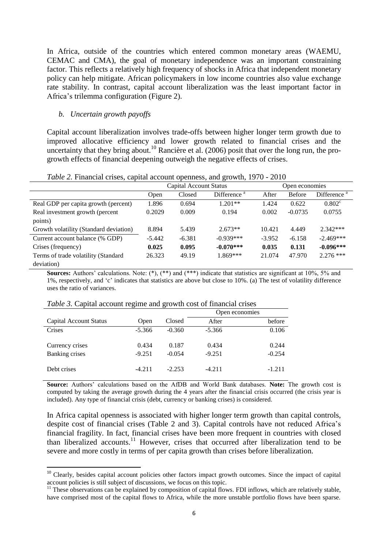In Africa, outside of the countries which entered common monetary areas (WAEMU, CEMAC and CMA), the goal of monetary independence was an important constraining factor. This reflects a relatively high frequency of shocks in Africa that independent monetary policy can help mitigate. African policymakers in low income countries also value exchange rate stability. In contrast, capital account liberalization was the least important factor in Africa's trilemma configuration (Figure 2).

#### *b. Uncertain growth payoffs*

**.** 

Capital account liberalization involves trade-offs between higher longer term growth due to improved allocative efficiency and lower growth related to financial crises and the uncertainty that they bring about.<sup>10</sup> Rancière et al. (2006) posit that over the long run, the progrowth effects of financial deepening outweigh the negative effects of crises.

|                                        | Capital Account Status |          |                         | Open economies |               |                         |
|----------------------------------------|------------------------|----------|-------------------------|----------------|---------------|-------------------------|
|                                        | Open                   | Closed   | Difference <sup>a</sup> | After          | <b>Before</b> | Difference <sup>a</sup> |
| Real GDP per capita growth (percent)   | 1.896                  | 0.694    | $1.201**$               | 1.424          | 0.622         | $0.802^{\circ}$         |
| Real investment growth (percent        | 0.2029                 | 0.009    | 0.194                   | 0.002          | $-0.0735$     | 0.0755                  |
| points)                                |                        |          |                         |                |               |                         |
| Growth volatility (Standard deviation) | 8.894                  | 5.439    | $2.673**$               | 10.421         | 4.449         | $2.342***$              |
| Current account balance (% GDP)        | $-5.442$               | $-6.381$ | $-0.939***$             | $-3.952$       | $-6.158$      | $-2.469***$             |
| Crises (frequency)                     | 0.025                  | 0.095    | $-0.070***$             | 0.035          | 0.131         | $-0.096***$             |
| Terms of trade volatility (Standard    | 26.323                 | 49.19    | 1.869***                | 21.074         | 47.970        | $2.276$ ***             |
| deviation)                             |                        |          |                         |                |               |                         |

*Table 2.* Financial crises, capital account openness, and growth, 1970 - 2010

**Sources:** Authors' calculations. Note: (\*), (\*\*) and (\*\*\*) indicate that statistics are significant at 10%, 5% and 1%, respectively, and 'c' indicates that statistics are above but close to 10%. (a) The test of volatility difference uses the ratio of variances.

|                        |          |          | Open economies |          |
|------------------------|----------|----------|----------------|----------|
| Capital Account Status | Open     | Closed   | After          | before   |
| Crises                 | $-5.366$ | $-0.360$ | $-5.366$       | 0.106    |
| Currency crises        | 0.434    | 0.187    | 0.434          | 0.244    |
| Banking crises         | $-9.251$ | $-0.054$ | $-9.251$       | $-0.254$ |
| Debt crises            | $-4.211$ | $-2.253$ | $-4.211$       | $-1.211$ |

*Table 3.* Capital account regime and growth cost of financial crises

**Source:** Authors' calculations based on the AfDB and World Bank databases. **Note:** The growth cost is computed by taking the average growth during the 4 years after the financial crisis occurred (the crisis year is included). Any type of financial crisis (debt, currency or banking crises) is considered.

In Africa capital openness is associated with higher longer term growth than capital controls, despite cost of financial crises (Table 2 and 3). Capital controls have not reduced Africa's financial fragility. In fact, financial crises have been more frequent in countries with closed than liberalized accounts.<sup>11</sup> However, crises that occurred after liberalization tend to be severe and more costly in terms of per capita growth than crises before liberalization.

<sup>&</sup>lt;sup>10</sup> Clearly, besides capital account policies other factors impact growth outcomes. Since the impact of capital account policies is still subject of discussions, we focus on this topic.

 $11$  These observations can be explained by composition of capital flows. FDI inflows, which are relatively stable, have comprised most of the capital flows to Africa, while the more unstable portfolio flows have been sparse.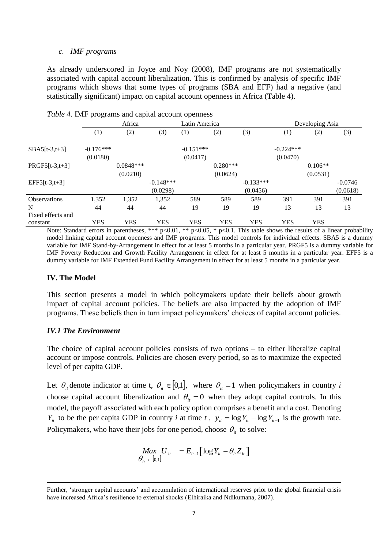#### *c. IMF programs*

As already underscored in Joyce and Noy (2008), IMF programs are not systematically associated with capital account liberalization. This is confirmed by analysis of specific IMF programs which shows that some types of programs (SBA and EFF) had a negative (and statistically significant) impact on capital account openness in Africa (Table 4).

|                   | Table 4. INIT programs and capital account openiess |             |             |                  |            |             |             |                 |           |
|-------------------|-----------------------------------------------------|-------------|-------------|------------------|------------|-------------|-------------|-----------------|-----------|
|                   |                                                     | Africa      |             | Latin America    |            |             |             | Developing Asia |           |
|                   | $\left(1\right)$                                    | (2)         | (3)         | $\left(1\right)$ | (2)        | (3)         | (1)         | (2)             | (3)       |
|                   |                                                     |             |             |                  |            |             |             |                 |           |
| $SBA5[t-3,t+3]$   | $-0.176***$                                         |             |             | $-0.151***$      |            |             | $-0.224***$ |                 |           |
|                   | (0.0180)                                            |             |             | (0.0417)         |            |             | (0.0470)    |                 |           |
| $PRGF5[t-3,t+3]$  |                                                     | $0.0848***$ |             |                  | $0.280***$ |             |             | $0.106**$       |           |
|                   |                                                     | (0.0210)    |             |                  | (0.0624)   |             |             | (0.0531)        |           |
| $EFF5[t-3,t+3]$   |                                                     |             | $-0.148***$ |                  |            | $-0.133***$ |             |                 | $-0.0746$ |
|                   |                                                     |             | (0.0298)    |                  |            | (0.0456)    |             |                 | (0.0618)  |
| Observations      | 1,352                                               | 1,352       | 1,352       | 589              | 589        | 589         | 391         | 391             | 391       |
| N                 | 44                                                  | 44          | 44          | 19               | 19         | 19          | 13          | 13              | 13        |
| Fixed effects and |                                                     |             |             |                  |            |             |             |                 |           |
| constant          | YES                                                 | <b>YES</b>  | YES         | YES              | YES        | <b>YES</b>  | <b>YES</b>  | <b>YES</b>      |           |

*Table 4.* IMF programs and capital account openness

Note: Standard errors in parentheses, \*\*\* p<0.01, \*\* p<0.05, \* p<0.1. This table shows the results of a linear probability model linking capital account openness and IMF programs. This model controls for individual effects. SBA5 is a dummy variable for IMF Stand-by-Arrangement in effect for at least 5 months in a particular year. PRGF5 is a dummy variable for IMF Poverty Reduction and Growth Facility Arrangement in effect for at least 5 months in a particular year. EFF5 is a dummy variable for IMF Extended Fund Facility Arrangement in effect for at least 5 months in a particular year.

#### **IV. The Model**

This section presents a model in which policymakers update their beliefs about growth impact of capital account policies. The beliefs are also impacted by the adoption of IMF programs. These beliefs then in turn impact policymakers' choices of capital account policies.

#### *IV.1 The Environment*

The choice of capital account policies consists of two options – to either liberalize capital account or impose controls. Policies are chosen every period, so as to maximize the expected level of per capita GDP.

Let  $\theta_i$  denote indicator at time t,  $\theta_i \in [0,1]$ , where  $\theta_i = 1$  when policymakers in country *i* choose capital account liberalization and  $\theta_{it} = 0$  when they adopt capital controls. In this model, the payoff associated with each policy option comprises a benefit and a cost. Denoting *Y<sub>it</sub>* to be the per capita GDP in country *i* at time *t*,  $y_{it} = \log Y_{it} - \log Y_{it-1}$  is the growth rate. Policymakers, who have their jobs for one period, choose  $\theta_{it}$  to solve:

$$
\begin{array}{ll}\n\text{Max } U_{ii} &= E_{ii-1} \left[ \log Y_{ii} - \theta_{ii} Z_{ii} \right] \\
\theta_{ii} \in [0,1]\n\end{array}
$$

**<sup>.</sup>** Further, 'stronger capital accounts' and accumulation of international reserves prior to the global financial crisis have increased Africa's resilience to external shocks (Elhiraika and Ndikumana, 2007).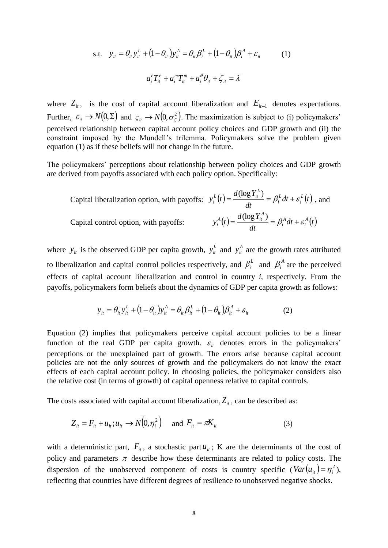s.t. 
$$
y_{ii} = \theta_{ii} y_{ii}^L + (1 - \theta_{ii}) y_{ii}^A = \theta_{ii} \beta_i^L + (1 - \theta_{ii}) \beta_i^A + \varepsilon_{ii}
$$

$$
a_i^e T_{ii}^e + a_i^m T_{ii}^m + a_i^{\theta} \theta_{ii} + \zeta_{ii} = \overline{\lambda}
$$
 (1)

where  $Z_{it}$ , is the cost of capital account liberalization and  $E_{it-1}$  denotes expectations. Further,  $\varepsilon_{it} \to N(0,\Sigma)$  and  $\varsigma_{it} \to N(0,\sigma_{\zeta}^2)$ . The maximization is subject to (i) policymakers' perceived relationship between capital account policy choices and GDP growth and (ii) the constraint imposed by the Mundell's trilemma. Policymakers solve the problem given equation (1) as if these beliefs will not change in the future.

The policymakers' perceptions about relationship between policy choices and GDP growth are derived from payoffs associated with each policy option. Specifically:

Capital liberalization option, with payoffs:

\n
$$
y_i^L(t) = \frac{d(\log Y_i^L)}{dt} = \beta_i^L dt + \varepsilon_i^L(t)
$$
\n, and

\nCapital control option, with payoffs:

\n
$$
y_i^A(t) = \frac{d(\log Y_i^A)}{dt} = \beta_i^A dt + \varepsilon_i^A(t)
$$

where  $y_{it}$  is the observed GDP per capita growth,  $y_{it}^L$  and  $y_{it}^A$  are the growth rates attributed to liberalization and capital control policies respectively, and  $\beta_i^L$  and  $\beta_i^A$  are the perceived effects of capital account liberalization and control in country *i*, respectively. From the payoffs, policymakers form beliefs about the dynamics of GDP per capita growth as follows:

$$
y_{it} = \theta_{it} y_{it}^{L} + (1 - \theta_{it}) y_{it}^{A} = \theta_{it} \beta_{it}^{L} + (1 - \theta_{it}) \beta_{it}^{A} + \varepsilon_{it}
$$
 (2)

Equation (2) implies that policymakers perceive capital account policies to be a linear function of the real GDP per capita growth.  $\varepsilon$ <sub>it</sub> denotes errors in the policymakers' perceptions or the unexplained part of growth. The errors arise because capital account policies are not the only sources of growth and the policymakers do not know the exact effects of each capital account policy. In choosing policies, the policymaker considers also the relative cost (in terms of growth) of capital openness relative to capital controls.

The costs associated with capital account liberalization,  $Z_{it}$ , can be described as:

$$
Z_{it} = F_{it} + u_{it}; u_{it} \rightarrow N(0, \eta_i^2) \quad \text{and } F_{it} = \pi K_{it}
$$
 (3)

with a deterministic part,  $F_{it}$ , a stochastic part  $u_{it}$ ; K are the determinants of the cost of policy and parameters  $\pi$  describe how these determinants are related to policy costs. The dispersion of the unobserved component of costs is country specific  $(Var(u_{it}) = \eta_i^2)$ , reflecting that countries have different degrees of resilience to unobserved negative shocks.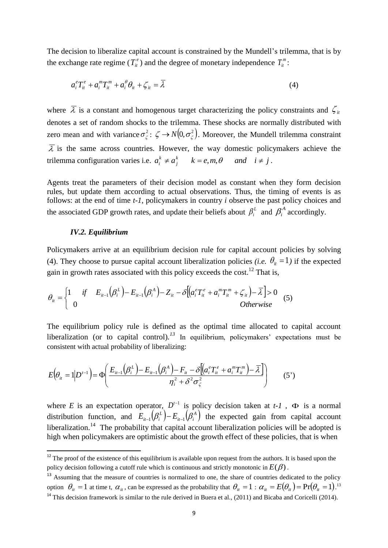The decision to liberalize capital account is constrained by the Mundell's trilemma, that is by the exchange rate regime ( $T_i^e$ ) and the degree of monetary independence  $T_i^m$ :

$$
a_i^e T_i^e + a_i^m T_i^m + a_i^{\theta} \theta_i + \zeta_i = \overline{\lambda}
$$
\n<sup>(4)</sup>

where  $\bar{\lambda}$  is a constant and homogenous target characterizing the policy constraints and  $\zeta$ <sub>ii</sub> denotes a set of random shocks to the trilemma. These shocks are normally distributed with zero mean and with variance  $\sigma_{\zeta}^2$ :  $\zeta \to N(0, \sigma_{\zeta}^2)$ . Moreover, the Mundell trilemma constraint  $\overline{\lambda}$  is the same across countries. However, the way domestic policymakers achieve the trilemma configuration varies i.e.  $a_i^k \neq a_i^k$   $k = e, m, \theta$  and  $i \neq j$ *j*  $k_i^k \neq a_j^k$   $k = e, m, \theta$  and  $i \neq j$ .

Agents treat the parameters of their decision model as constant when they form decision rules, but update them according to actual observations. Thus, the timing of events is as follows: at the end of time *t-1*, policymakers in country *i* observe the past policy choices and the associated GDP growth rates, and update their beliefs about  $\beta_i^L$  and  $\beta_i^A$  accordingly.

#### *IV.2. Equilibrium*

**.** 

Policymakers arrive at an equilibrium decision rule for capital account policies by solving (4). They choose to pursue capital account liberalization policies *(i.e.*  $\theta_{it} = 1$ ) if the expected gain in growth rates associated with this policy exceeds the cost.<sup>12</sup> That is,

$$
\theta_{ii} = \begin{cases} 1 & \text{if} \quad E_{it-1}(\beta_i^L) - E_{it-1}(\beta_i^A) - Z_{it} - \delta[(a_i^e T_{it}^e + a_i^m T_{it}^m + \zeta_{it}) - \overline{\lambda}] > 0 \\ 0 & \text{Otherwise} \end{cases}
$$
(5)

The equilibrium policy rule is defined as the optimal time allocated to capital account liberalization (or to capital control).<sup>13</sup> In equilibrium, policymakers' expectations must be consistent with actual probability of liberalizing:

$$
E(\theta_{it} = 1 | D^{t-1}) = \Phi\left(\frac{E_{it-1}(\beta_i^L) - E_{it-1}(\beta_i^A) - F_{it} - \delta[(a_i^e T_{it}^e + a_i^m T_{it}^m) - \bar{\lambda}]}{\eta_i^2 + \delta^2 \sigma_{\zeta}^2}\right)
$$
(5')

where *E* is an expectation operator,  $D^{t-1}$  is policy decision taken at *t*-1,  $\Phi$  is a normal distribution function, and  $E_{i-1}(\beta_i^L) - E_{i-1}(\beta_i^A)$  $E_{i}(\beta_i^L) - E_{i}(\beta_i^A)$  the expected gain from capital account liberalization.<sup>14</sup> The probability that capital account liberalization policies will be adopted is high when policymakers are optimistic about the growth effect of these policies, that is when

<sup>13</sup> Assuming that the measure of countries is normalized to one, the share of countries dedicated to the policy option  $\theta_{it} = 1$  at time t,  $\alpha_{it}$ , can be expressed as the probability that  $\theta_{it} = 1$  :  $\alpha_{it} = E(\theta_{it}) = \Pr(\theta_{it} = 1)$ .<sup>13</sup> <sup>14</sup> This decision framework is similar to the rule derived in Buera et al., (2011) and Bicaba and Coricelli (2014).

 $12$ <sup>12</sup> The proof of the existence of this equilibrium is available upon request from the authors. It is based upon the policy decision following a cutoff rule which is continuous and strictly monotonic in  $E(\beta)$ .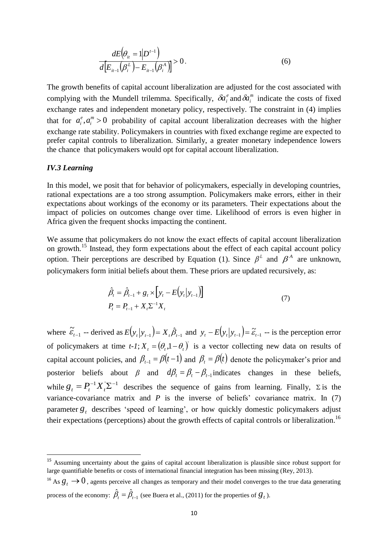$$
\frac{dE(\theta_{it} = 1 | D^{t-1})}{d[E_{it-1}(\beta_i^L) - E_{it-1}(\beta_i^A)]} > 0.
$$
\n(6)

The growth benefits of capital account liberalization are adjusted for the cost associated with complying with the Mundell trilemma. Specifically,  $\delta a_i^e$  $\delta a_i^e$  and  $\delta a_i^m$  indicate the costs of fixed exchange rates and independent monetary policy, respectively. The constraint in (4) implies that for  $a_i^e, a_i^m > 0$ *i e*  $a_i^e, a_i^m > 0$  probability of capital account liberalization decreases with the higher exchange rate stability. Policymakers in countries with fixed exchange regime are expected to prefer capital controls to liberalization. Similarly, a greater monetary independence lowers the chance that policymakers would opt for capital account liberalization.

#### *IV.3 Learning*

**.** 

In this model, we posit that for behavior of policymakers, especially in developing countries, rational expectations are a too strong assumption. Policymakers make errors, either in their expectations about workings of the economy or its parameters. Their expectations about the impact of policies on outcomes change over time. Likelihood of errors is even higher in Africa given the frequent shocks impacting the continent.

We assume that policymakers do not know the exact effects of capital account liberalization on growth.<sup>15</sup> Instead, they form expectations about the effect of each capital account policy option. Their perceptions are described by Equation (1). Since  $\beta^L$  and  $\beta^A$  are unknown, policymakers form initial beliefs about them. These priors are updated recursively, as:

$$
\hat{\beta}_t = \hat{\beta}_{t-1} + g_t \times [y_t - E(y_t | y_{t-1})]
$$
\n
$$
P_t = P_{t-1} + X_t \Sigma^{-1} X_t
$$
\n(7)

 $(\theta_{ii} = 1|D^{t-1})$ <br>  $(\beta_i^L) - E_{ii-1}(\beta_i^A)] > 0$ .<br>
capital account liberaliz<br>
undell trilemma. Specifically and the specific pendent monetary policy<br>
bability of capital accountric biberalization. Similar<br>
ankers would opt for where  $\tilde{\varepsilon}_{t-1}$  -- derived as  $E(y_t|y_{t-1}) = X_t \hat{\beta}_{t-1}$  and  $y_t - E(y_t|y_{t-1}) = \tilde{\varepsilon}_{t-1}$  -- is the perception error of policymakers at time *t*-*I*;  $X_t = (\theta_t, 1 - \theta_t)$  is a vector collecting new data on results of capital account policies, and  $\beta_{t-1} = \beta(t-1)$  and  $\beta_t = \beta(t)$  denote the policymaker's prior and posterior beliefs about  $\beta$  and  $d\beta_t = \beta_t - \beta_{t-1}$  indicates changes in these beliefs, while  $g_t = P_t^{-1} X_t \Sigma^{-1}$  describes the sequence of gains from learning. Finally,  $\Sigma$  is the variance-covariance matrix and *P* is the inverse of beliefs' covariance matrix. In (7) parameter  $g_t$  describes 'speed of learning', or how quickly domestic policymakers adjust their expectations (perceptions) about the growth effects of capital controls or liberalization.<sup>16</sup>

<sup>&</sup>lt;sup>15</sup> Assuming uncertainty about the gains of capital account liberalization is plausible since robust support for large quantifiable benefits or costs of international financial integration has been missing (Rey, 2013).

<sup>&</sup>lt;sup>16</sup> As  $g_t \to 0$ , agents perceive all changes as temporary and their model converges to the true data generating process of the economy:  $\hat{\beta}_t = \hat{\beta}_{t-1}$  (see Buera et al., (2011) for the properties of  $g_t$ ).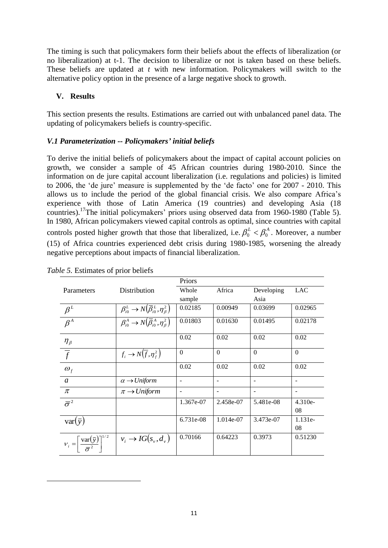The timing is such that policymakers form their beliefs about the effects of liberalization (or no liberalization) at t-1. The decision to liberalize or not is taken based on these beliefs. These beliefs are updated at *t* with new information. Policymakers will switch to the alternative policy option in the presence of a large negative shock to growth.

### **V. Results**

This section presents the results. Estimations are carried out with unbalanced panel data. The updating of policymakers beliefs is country-specific.

#### *V.1 Parameterization -- Policymakers' initial beliefs*

To derive the initial beliefs of policymakers about the impact of capital account policies on growth, we consider a sample of 45 African countries during 1980-2010. Since the information on de jure capital account liberalization (i.e. regulations and policies) is limited to 2006, the 'de jure' measure is supplemented by the 'de facto' one for 2007 - 2010. This allows us to include the period of the global financial crisis. We also compare Africa's experience with those of Latin America (19 countries) and developing Asia (18 countries).<sup>17</sup>The initial policymakers' priors using observed data from 1960-1980 (Table 5). In 1980, African policymakers viewed capital controls as optimal, since countries with capital controls posted higher growth that those that liberalized, i.e.  $\beta_0^L < \beta_0^A$ . Moreover, a number (15) of Africa countries experienced debt crisis during 1980-1985, worsening the already negative perceptions about impacts of financial liberalization.

|                                                                       | л.                                                                    | Priors                   |                          |                          |                          |
|-----------------------------------------------------------------------|-----------------------------------------------------------------------|--------------------------|--------------------------|--------------------------|--------------------------|
|                                                                       |                                                                       |                          |                          |                          |                          |
| Parameters                                                            | Distribution                                                          | Whole                    | Africa                   | Developing               | <b>LAC</b>               |
|                                                                       |                                                                       | sample                   |                          | Asia                     |                          |
| $\beta^{\scriptscriptstyle L}$                                        | $\beta_{i0}^L \rightarrow N(\overline{\beta}_{i0}^L, \eta_{\beta}^2)$ | 0.02185                  | 0.00949                  | 0.03699                  | 0.02965                  |
| $\beta^A$                                                             | $\beta_{i0}^A \rightarrow N(\overline{\beta}_{i0}^A, \eta_{\beta}^2)$ | 0.01803                  | 0.01630                  | 0.01495                  | 0.02178                  |
|                                                                       |                                                                       | 0.02                     | 0.02                     | 0.02                     | 0.02                     |
| $\frac{\eta_{\beta}}{\overline{f}}$                                   | $f_i \rightarrow N(\overline{f}, \eta_f^2)$                           | $\Omega$                 | $\Omega$                 | $\theta$                 | $\Omega$                 |
| $\boldsymbol{\omega}_f$                                               |                                                                       | 0.02                     | 0.02                     | 0.02                     | 0.02                     |
| $\mathfrak{a}$                                                        | $\alpha \rightarrow Uniform$                                          | $\overline{\phantom{a}}$ | $\overline{\phantom{a}}$ | $\overline{\phantom{a}}$ | $\overline{\phantom{a}}$ |
| $\pi$                                                                 | $\pi \rightarrow Uniform$                                             | $\overline{\phantom{m}}$ | $\overline{\phantom{a}}$ | $\overline{\phantom{0}}$ | $\overline{\phantom{a}}$ |
| $\overline{\sigma}^2$                                                 |                                                                       | 1.367e-07                | 2.458e-07                | 5.481e-08                | 4.310e-                  |
|                                                                       |                                                                       |                          |                          |                          | 08                       |
| $var(\bar{y})$                                                        |                                                                       | 6.731e-08                | 1.014e-07                | 3.473e-07                | $1.131e-$                |
|                                                                       |                                                                       |                          |                          |                          | 08                       |
| $v_i = \left[\frac{\text{var}(\bar{y})}{\bar{\sigma}^2}\right]^{1/2}$ | $v_i \rightarrow IG(s_v, d_v)$                                        | 0.70166                  | 0.64223                  | 0.3973                   | 0.51230                  |

|  | <i>Table 5.</i> Estimates of prior beliefs |  |  |
|--|--------------------------------------------|--|--|
|  |                                            |  |  |

 $\overline{\phantom{a}}$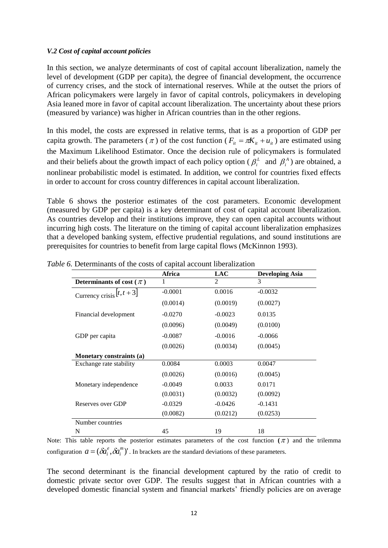#### *V.2 Cost of capital account policies*

In this section, we analyze determinants of cost of capital account liberalization, namely the level of development (GDP per capita), the degree of financial development, the occurrence of currency crises, and the stock of international reserves. While at the outset the priors of African policymakers were largely in favor of capital controls, policymakers in developing Asia leaned more in favor of capital account liberalization. The uncertainty about these priors (measured by variance) was higher in African countries than in the other regions.

In this model, the costs are expressed in relative terms, that is as a proportion of GDP per capita growth. The parameters ( $\pi$ ) of the cost function ( $F_{it} = \pi K_{it} + u_{it}$ ) are estimated using the Maximum Likelihood Estimator. Once the decision rule of policymakers is formulated and their beliefs about the growth impact of each policy option ( $\beta_i^L$  and  $\beta_i^A$ ) are obtained, a nonlinear probabilistic model is estimated. In addition, we control for countries fixed effects in order to account for cross country differences in capital account liberalization.

Table 6 shows the posterior estimates of the cost parameters. Economic development (measured by GDP per capita) is a key determinant of cost of capital account liberalization. As countries develop and their institutions improve, they can open capital accounts without incurring high costs. The literature on the timing of capital account liberalization emphasizes that a developed banking system, effective prudential regulations, and sound institutions are prerequisites for countries to benefit from large capital flows (McKinnon 1993).

|                                | Africa    | <b>LAC</b>     | <b>Developing Asia</b> |
|--------------------------------|-----------|----------------|------------------------|
| Determinants of cost ( $\pi$ ) |           | $\mathfrak{D}$ | 3                      |
| Currency crisis $[t, t+3]$     | $-0.0001$ | 0.0016         | $-0.0032$              |
|                                | (0.0014)  | (0.0019)       | (0.0027)               |
| Financial development          | $-0.0270$ | $-0.0023$      | 0.0135                 |
|                                | (0.0096)  | (0.0049)       | (0.0100)               |
| GDP per capita                 | $-0.0087$ | $-0.0016$      | $-0.0066$              |
|                                | (0.0026)  | (0.0034)       | (0.0045)               |
| Monetary constraints (a)       |           |                |                        |
| Exchange rate stability        | 0.0084    | 0.0003         | 0.0047                 |
|                                | (0.0026)  | (0.0016)       | (0.0045)               |
| Monetary independence          | $-0.0049$ | 0.0033         | 0.0171                 |
|                                | (0.0031)  | (0.0032)       | (0.0092)               |
| Reserves over GDP              | $-0.0329$ | $-0.0426$      | $-0.1431$              |
|                                | (0.0082)  | (0.0212)       | (0.0253)               |
| Number countries               |           |                |                        |
| N                              | 45        | 19             | 18                     |

*Table 6.* Determinants of the costs of capital account liberalization

Note: This table reports the posterior estimates parameters of the cost function  $(\pi)$  and the trilemma configuration  $a = (\delta a_i^e, \delta a_i^m)'$  $a = (\delta a_i^e, \delta a_i^m)$ '. In brackets are the standard deviations of these parameters.

The second determinant is the financial development captured by the ratio of credit to domestic private sector over GDP. The results suggest that in African countries with a developed domestic financial system and financial markets' friendly policies are on average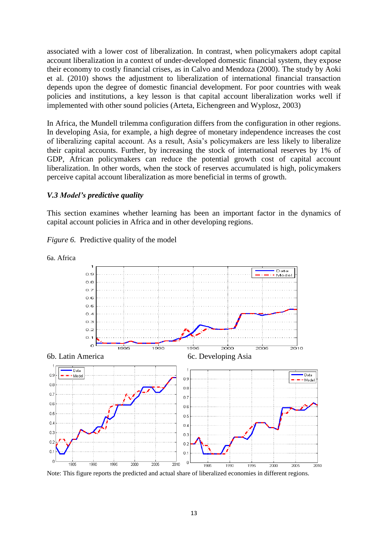associated with a lower cost of liberalization. In contrast, when policymakers adopt capital account liberalization in a context of under-developed domestic financial system, they expose their economy to costly financial crises, as in Calvo and Mendoza (2000). The study by Aoki et al. (2010) shows the adjustment to liberalization of international financial transaction depends upon the degree of domestic financial development. For poor countries with weak policies and institutions, a key lesson is that capital account liberalization works well if implemented with other sound policies (Arteta, Eichengreen and Wyplosz, 2003)

In Africa, the Mundell trilemma configuration differs from the configuration in other regions. In developing Asia, for example, a high degree of monetary independence increases the cost of liberalizing capital account. As a result, Asia's policymakers are less likely to liberalize their capital accounts. Further, by increasing the stock of international reserves by 1% of GDP, African policymakers can reduce the potential growth cost of capital account liberalization. In other words, when the stock of reserves accumulated is high, policymakers perceive capital account liberalization as more beneficial in terms of growth.

#### *V.3 Model's predictive quality*

This section examines whether learning has been an important factor in the dynamics of capital account policies in Africa and in other developing regions.

#### *Figure 6.* Predictive quality of the model



Note: This figure reports the predicted and actual share of liberalized economies in different regions.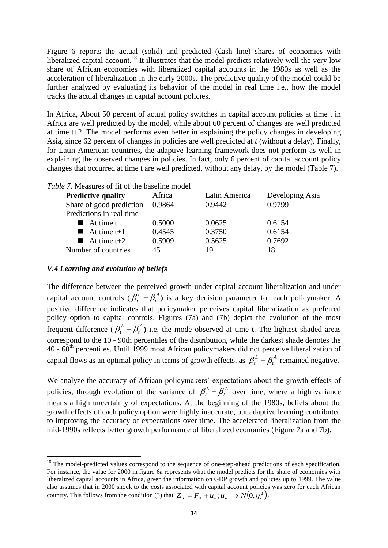Figure 6 reports the actual (solid) and predicted (dash line) shares of economies with liberalized capital account.<sup>18</sup> It illustrates that the model predicts relatively well the very low share of African economies with liberalized capital accounts in the 1980s as well as the acceleration of liberalization in the early 2000s. The predictive quality of the model could be further analyzed by evaluating its behavior of the model in real time i.e., how the model tracks the actual changes in capital account policies.

In Africa, About 50 percent of actual policy switches in capital account policies at time t in Africa are well predicted by the model, while about 60 percent of changes are well predicted at time t+2. The model performs even better in explaining the policy changes in developing Asia, since 62 percent of changes in policies are well predicted at *t* (without a delay). Finally, for Latin American countries, the adaptive learning framework does not perform as well in explaining the observed changes in policies. In fact, only 6 percent of capital account policy changes that occurred at time t are well predicted, without any delay, by the model (Table 7).

| ne 7. measures of he of the basemic model |        |               |                 |
|-------------------------------------------|--------|---------------|-----------------|
| <b>Predictive quality</b>                 | Africa | Latin America | Developing Asia |
| Share of good prediction                  | 0.9864 | 0.9442        | 0.9799          |
| Predictions in real time                  |        |               |                 |
| $\blacksquare$ At time t                  | 0.5000 | 0.0625        | 0.6154          |
| $\blacksquare$ At time t+1                | 0.4545 | 0.3750        | 0.6154          |
| At time $t+2$                             | 0.5909 | 0.5625        | 0.7692          |
| Number of countries                       |        | 19            | 18              |
|                                           |        |               |                 |

| <i>Table 7.</i> Measures of fit of the baseline model |  |  |  |
|-------------------------------------------------------|--|--|--|
|-------------------------------------------------------|--|--|--|

#### *V.4 Learning and evolution of beliefs*

**.** 

The difference between the perceived growth under capital account liberalization and under capital account controls  $(\beta_t^L - \beta_t^A)$ *t*  $\beta_t^L - \beta_t^A$ ) is a key decision parameter for each policymaker. A positive difference indicates that policymaker perceives capital liberalization as preferred policy option to capital controls. Figures (7a) and (7b) depict the evolution of the most frequent difference ( $\beta_t^L - \beta_t^A$ *t*  $\beta_t^L - \beta_t^A$ ) i.e. the mode observed at time t. The lightest shaded areas correspond to the 10 - 90th percentiles of the distribution, while the darkest shade denotes the 40 - 60th percentiles. Until 1999 most African policymakers did not perceive liberalization of capital flows as an optimal policy in terms of growth effects, as  $\beta_t^L - \beta_t^A$ *t*  $\beta_t^L$  –  $\beta_t^A$  remained negative.

We analyze the accuracy of African policymakers' expectations about the growth effects of policies, through evolution of the variance of  $\beta_t^L - \beta_t^A$ *t*  $\beta_t^L - \beta_t^A$  over time, where a high variance means a high uncertainty of expectations. At the beginning of the 1980s, beliefs about the growth effects of each policy option were highly inaccurate, but adaptive learning contributed to improving the accuracy of expectations over time. The accelerated liberalization from the mid-1990s reflects better growth performance of liberalized economies (Figure 7a and 7b).

<sup>&</sup>lt;sup>18</sup> The model-predicted values correspond to the sequence of one-step-ahead predictions of each specification. For instance, the value for 2000 in figure 6a represents what the model predicts for the share of economies with liberalized capital accounts in Africa, given the information on GDP growth and policies up to 1999. The value also assumes that in 2000 shock to the costs associated with capital account policies was zero for each African country. This follows from the condition (3) that  $Z_{it} = F_{it} + u_{it}$ ;  $u_{it} \to N(0, \eta_i^2)$ .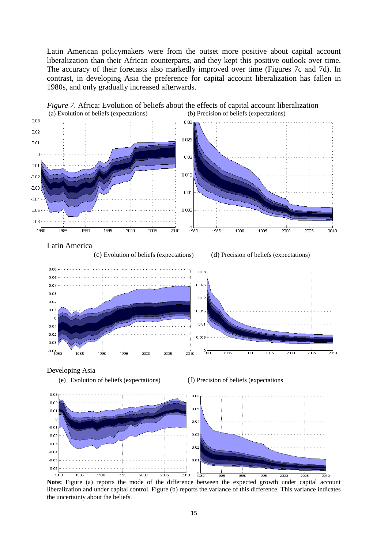Latin American policymakers were from the outset more positive about capital account liberalization than their African counterparts, and they kept this positive outlook over time. The accuracy of their forecasts also markedly improved over time (Figures 7c and 7d). In contrast, in developing Asia the preference for capital account liberalization has fallen in 1980s, and only gradually increased afterwards.



*Figure 7.* Africa: Evolution of beliefs about the effects of capital account liberalization (a) Evolution of beliefs (expectations) (b) Precision of beliefs (expectations)

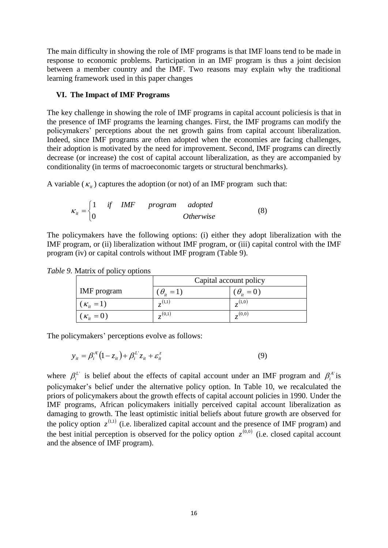The main difficulty in showing the role of IMF programs is that IMF loans tend to be made in response to economic problems. Participation in an IMF program is thus a joint decision between a member country and the IMF. Two reasons may explain why the traditional learning framework used in this paper changes

#### **VI. The Impact of IMF Programs**

The key challenge in showing the role of IMF programs in capital account policiesis is that in the presence of IMF programs the learning changes. First, the IMF programs can modify the policymakers' perceptions about the net growth gains from capital account liberalization. Indeed, since IMF programs are often adopted when the economies are facing challenges, their adoption is motivated by the need for improvement. Second, IMF programs can directly decrease (or increase) the cost of capital account liberalization, as they are accompanied by conditionality (in terms of macroeconomic targets or structural benchmarks).

A variable  $(\kappa_{it})$  captures the adoption (or not) of an IMF program such that:

$$
\kappa_{it} = \begin{cases} 1 & \text{if} \quad IMF \quad program \quad adopted \\ 0 & \text{Otherwise} \end{cases} \tag{8}
$$

The policymakers have the following options: (i) either they adopt liberalization with the IMF program, or (ii) liberalization without IMF program, or (iii) capital control with the IMF program (iv) or capital controls without IMF program (Table 9).

|                     | Capital account policy |                     |  |
|---------------------|------------------------|---------------------|--|
| IMF program         | $(\theta_{i} = 1)$     | $(\theta_{ii} = 0)$ |  |
| $(\kappa_{ii} = 1)$ | (1,1)                  | (1,0)               |  |
| $(\kappa_{it}=0)$   | (0,1)                  | (0,0)               |  |

*Table 9.* Matrix of policy options

The policymakers' perceptions evolve as follows:

$$
y_{it} = \beta_i^{A'} (1 - z_{it}) + \beta_i^L z_{it} + \varepsilon_{it}^z
$$
 (9)

where  $\beta_i^L$  is belief about the effects of capital account under an IMF program and  $\beta_i^A$  is policymaker's belief under the alternative policy option. In Table 10, we recalculated the priors of policymakers about the growth effects of capital account policies in 1990. Under the IMF programs, African policymakers initially perceived capital account liberalization as damaging to growth. The least optimistic initial beliefs about future growth are observed for the policy option  $z^{(1,1)}$  (i.e. liberalized capital account and the presence of IMF program) and the best initial perception is observed for the policy option  $z^{(0,0)}$  (i.e. closed capital account and the absence of IMF program).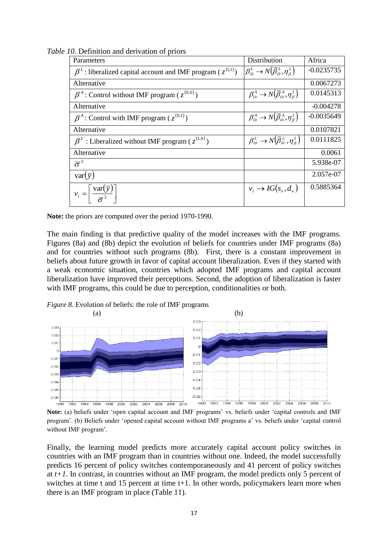| Parameters                                                              | Distribution                                                                     | Africa       |
|-------------------------------------------------------------------------|----------------------------------------------------------------------------------|--------------|
| $\beta^L$ : liberalized capital account and IMF program ( $z^{(1,1)}$ ) | $\left(\beta_{i0}^L\rightarrow N(\overline{\beta}_{i0}^L,\eta_{\beta}^2)\right)$ | $-0.0235735$ |
| Alternative                                                             |                                                                                  | 0.0067273    |
| $\beta^A$ : Control without IMF program ( $z^{(0,0)}$ )                 | $\beta_{i0}^A \rightarrow N(\overline{\beta}_{i0}^A, \eta_{\beta}^2)$            | 0.0145313    |
| Alternative                                                             |                                                                                  | $-0.004278$  |
| $\beta^A$ : Control with IMF program ( $z^{(0,1)}$ )                    | $\beta_{i0}^A \rightarrow N(\overline{\beta}_{i0}^A, \eta_{\beta}^2)$            | $-0.0035649$ |
| Alternative                                                             |                                                                                  | 0.0107821    |
| $\beta^L$ : Liberalized without IMF program ( $z^{(1,0)}$ )             | $\beta_{i0}^L \rightarrow N(\overline{\beta}_{i0}^L, \eta_{B}^2)$                | 0.0111825    |
| Alternative                                                             |                                                                                  | 0.0061       |
| $\bar{\sigma}^2$                                                        |                                                                                  | 5.938e-07    |
| $var(\bar{y})$                                                          |                                                                                  | 2.057e-07    |
| $v_i = \left  \frac{\text{var}(\bar{y})}{\bar{\sigma}^2} \right $       | $v_i \rightarrow IG(s_v, d_v)$                                                   | 0.5885364    |

*Table 10.* Definition and derivation of priors

**Note:** the priors are computed over the period 1970-1990.

The main finding is that predictive quality of the model increases with the IMF programs. Figures (8a) and (8b) depict the evolution of beliefs for countries under IMF programs (8a) and for countries without such programs (8b). First, there is a constant improvement in beliefs about future growth in favor of capital account liberalization. Even if they started with a weak economic situation, countries which adopted IMF programs and capital account liberalization have improved their perceptions. Second, the adoption of liberalization is faster with IMF programs, this could be due to perception, conditionalities or both.

*Figure 8.* Evolution of beliefs: the role of IMF programs



**Note:** (a) beliefs under 'open capital account and IMF programs' vs. beliefs under 'capital controls and IMF program'. (b) Beliefs under 'opened capital account without IMF programs a' vs. beliefs under 'capital control without IMF program'.

Finally, the learning model predicts more accurately capital account policy switches in countries with an IMF program than in countries without one. Indeed, the model successfully predicts 16 percent of policy switches contemporaneously and 41 percent of policy switches at  $t+1$ . In contrast, in countries without an IMF program, the model predicts only 5 percent of switches at time t and 15 percent at time t+1. In other words, policymakers learn more when there is an IMF program in place (Table 11).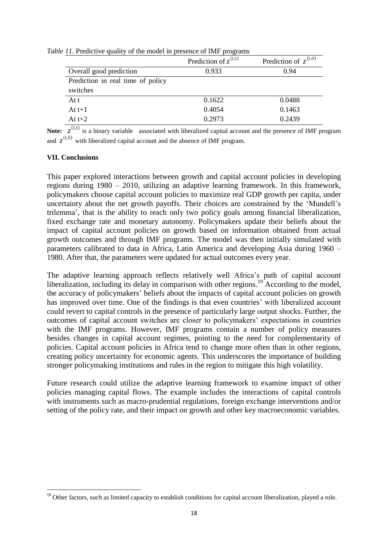|                                   | Prediction of $z^{(1,1)}$ | Prediction of $z^{(1,0)}$ |
|-----------------------------------|---------------------------|---------------------------|
| Overall good prediction           | 0.933                     | 0.94                      |
| Prediction in real time of policy |                           |                           |
| switches                          |                           |                           |
| At t                              | 0.1622                    | 0.0488                    |
| At $t+1$                          | 0.4054                    | 0.1463                    |
| At $t+2$                          | 0.2973                    | 0.2439                    |

*Table 11.* Predictive quality of the model in presence of IMF programs

**Note:**  $z^{(1,1)}$  is a binary variable associated with liberalized capital account and the presence of IMF program and  $z^{(1,0)}$  with liberalized capital account and the absence of IMF program.

#### **VII. Conclusions**

**.** 

This paper explored interactions between growth and capital account policies in developing regions during 1980 – 2010, utilizing an adaptive learning framework. In this framework, policymakers choose capital account policies to maximize real GDP growth per capita, under uncertainty about the net growth payoffs. Their choices are constrained by the 'Mundell's trilemma', that is the ability to reach only two policy goals among financial liberalization, fixed exchange rate and monetary autonomy. Policymakers update their beliefs about the impact of capital account policies on growth based on information obtained from actual growth outcomes and through IMF programs. The model was then initially simulated with parameters calibrated to data in Africa, Latin America and developing Asia during 1960 – 1980. After that, the parameters were updated for actual outcomes every year.

The adaptive learning approach reflects relatively well Africa's path of capital account liberalization, including its delay in comparison with other regions.<sup>19</sup> According to the model, the accuracy of policymakers' beliefs about the impacts of capital account policies on growth has improved over time. One of the findings is that even countries' with liberalized account could revert to capital controls in the presence of particularly large output shocks. Further, the outcomes of capital account switches are closer to policymakers' expectations in countries with the IMF programs. However, IMF programs contain a number of policy measures besides changes in capital account regimes, pointing to the need for complementarity of policies. Capital account policies in Africa tend to change more often than in other regions, creating policy uncertainty for economic agents. This underscores the importance of building stronger policymaking institutions and rules in the region to mitigate this high volatility.

Future research could utilize the adaptive learning framework to examine impact of other policies managing capital flows. The example includes the interactions of capital controls with instruments such as macro-prudential regulations, foreign exchange interventions and/or setting of the policy rate, and their impact on growth and other key macroeconomic variables.

<sup>&</sup>lt;sup>19</sup> Other factors, such as limited capacity to establish conditions for capital account liberalization, played a role.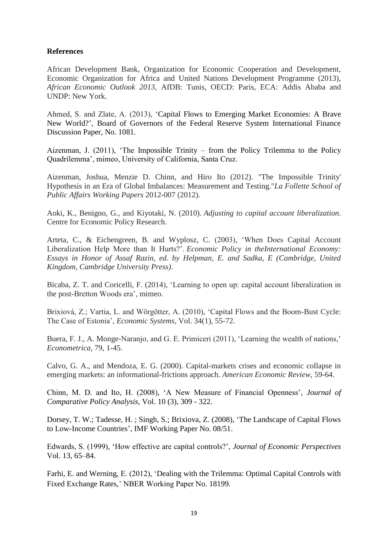#### **References**

African Development Bank, Organization for Economic Cooperation and Development, Economic Organization for Africa and United Nations Development Programme (2013), *African Economic Outlook 2013,* AfDB: Tunis, OECD: Paris, ECA: Addis Ababa and UNDP: New York.

Ahmed, S. and Zlate, A. (2013), 'Capital Flows to Emerging Market Economies: A Brave New World?', Board of Governors of the Federal Reserve System International Finance Discussion Paper, No. 1081.

Aizenman, J. (2011), 'The Impossible Trinity – from the Policy Trilemma to the Policy Quadrilemma', mimeo, University of California, Santa Cruz.

Aizenman, Joshua, Menzie D. Chinn, and Hiro Ito (2012). "The Impossible Trinity' Hypothesis in an Era of Global Imbalances: Measurement and Testing."*La Follette School of Public Affairs Working Papers* 2012-007 (2012).

Aoki, K., Benigno, G., and Kiyotaki, N. (2010). *Adjusting to capital account liberalization*. Centre for Economic Policy Research.

Arteta, C., & Eichengreen, B. and Wyplosz, C. (2003), 'When Does Capital Account Liberalization Help More than It Hurts?'. *Economic Policy in theInternational Economy: Essays in Honor of Assaf Razin, ed. by Helpman, E. and Sadka, E (Cambridge, United Kingdom, Cambridge University Press)*.

Bicaba, Z. T. and Coricelli, F. (2014), 'Learning to open up: capital account liberalization in the post-Bretton Woods era', mimeo.

Brixiová, Z.; Vartia, L. and Wörgötter, A. (2010), 'Capital Flows and the Boom-Bust Cycle: The Case of Estonia', *Economic Systems*, Vol. 34(1), 55-72.

Buera, F. J., A. Monge-Naranjo, and G. E. Primiceri (2011), 'Learning the wealth of nations,' *Econometrica*, 79, 1-45.

Calvo, G. A., and Mendoza, E. G. (2000). Capital-markets crises and economic collapse in emerging markets: an informational-frictions approach. *American Economic Review*, 59-64.

Chinn, M. D. and Ito, H. (2008), 'A New Measure of Financial Openness', *Journal of Comparative Policy Analysis,* Vol. 10 (3), 309 - 322.

Dorsey, T. W.; Tadesse, H. ; Singh, S.; Brixiova, Z. (2008), 'The Landscape of Capital Flows to Low-Income Countries', IMF Working Paper No. 08/51.

Edwards, S. (1999), 'How effective are capital controls?', *Journal of Economic Perspectives* Vol. 13, 65–84.

Farhi, E. and Werning, E. (2012), 'Dealing with the Trilemma: Optimal Capital Controls with Fixed Exchange Rates,' NBER Working Paper No. 18199.